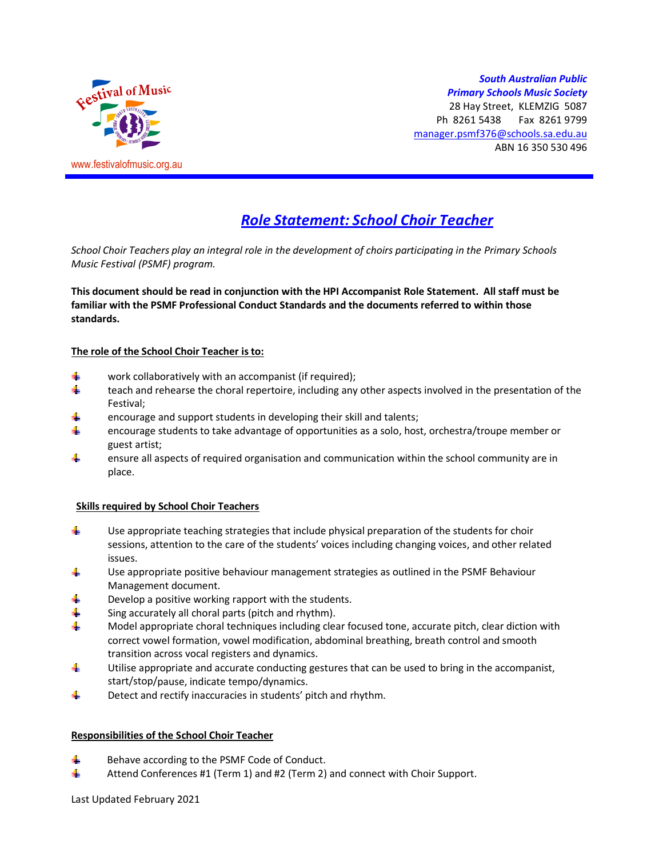

## *South Australian Public Primary Schools Music Society*

28 Hay Street, KLEMZIG 5087 Ph 8261 5438 Fax 8261 9799 manager.psmf376@schools.sa.edu.au ABN 16 350 530 496

# *Role Statement: School Choir Teacher*

*School Choir Teachers play an integral role in the development of choirs participating in the Primary Schools Music Festival (PSMF) program.* 

**This document should be read in conjunction with the HPI Accompanist Role Statement. All staff must be familiar with the PSMF Professional Conduct Standards and the documents referred to within those standards.** 

## **The role of the School Choir Teacher is to:**

- 4. work collaboratively with an accompanist (if required);
- ۰. teach and rehearse the choral repertoire, including any other aspects involved in the presentation of the Festival;
- encourage and support students in developing their skill and talents;
- ÷ encourage students to take advantage of opportunities as a solo, host, orchestra/troupe member or guest artist;
- 4 ensure all aspects of required organisation and communication within the school community are in place.

## **Skills required by School Choir Teachers**

- d. Use appropriate teaching strategies that include physical preparation of the students for choir sessions, attention to the care of the students' voices including changing voices, and other related issues.
- Use appropriate positive behaviour management strategies as outlined in the PSMF Behaviour 4. Management document.
- 4. Develop a positive working rapport with the students.
- 4 Sing accurately all choral parts (pitch and rhythm).
- 4. Model appropriate choral techniques including clear focused tone, accurate pitch, clear diction with correct vowel formation, vowel modification, abdominal breathing, breath control and smooth transition across vocal registers and dynamics.
- 4. Utilise appropriate and accurate conducting gestures that can be used to bring in the accompanist, start/stop/pause, indicate tempo/dynamics.
- 4. Detect and rectify inaccuracies in students' pitch and rhythm.

## **Responsibilities of the School Choir Teacher**

- ₩. Behave according to the PSMF Code of Conduct.
- ÷. Attend Conferences #1 (Term 1) and #2 (Term 2) and connect with Choir Support.

Last Updated February 2021